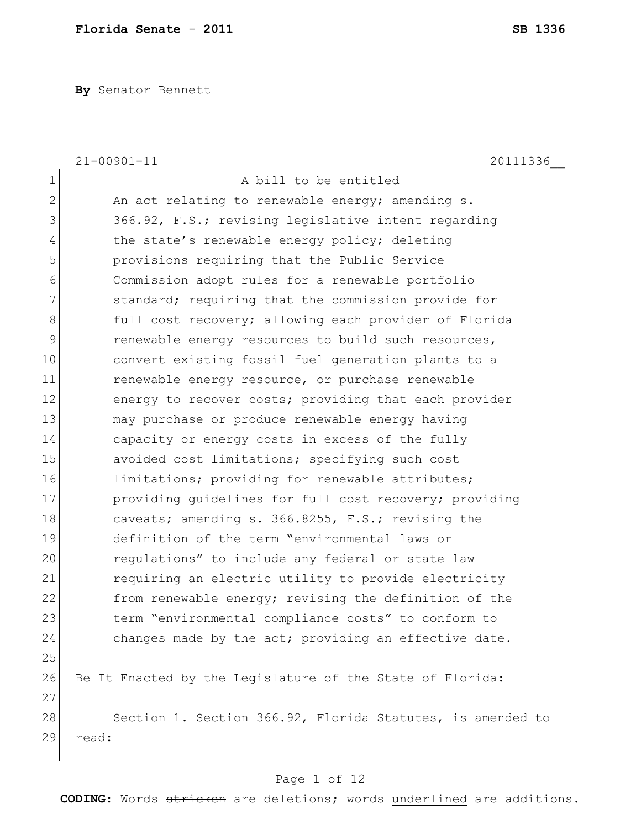**By** Senator Bennett

|                | $21 - 00901 - 11$<br>20111336                              |
|----------------|------------------------------------------------------------|
| $\mathbf{1}$   | A bill to be entitled                                      |
| $\overline{2}$ | An act relating to renewable energy; amending s.           |
| 3              | 366.92, F.S.; revising legislative intent regarding        |
| 4              | the state's renewable energy policy; deleting              |
| 5              | provisions requiring that the Public Service               |
| 6              | Commission adopt rules for a renewable portfolio           |
| 7              | standard; requiring that the commission provide for        |
| 8              | full cost recovery; allowing each provider of Florida      |
| 9              | renewable energy resources to build such resources,        |
| 10             | convert existing fossil fuel generation plants to a        |
| 11             | renewable energy resource, or purchase renewable           |
| 12             | energy to recover costs; providing that each provider      |
| 13             | may purchase or produce renewable energy having            |
| 14             | capacity or energy costs in excess of the fully            |
| 15             | avoided cost limitations; specifying such cost             |
| 16             | limitations; providing for renewable attributes;           |
| 17             | providing quidelines for full cost recovery; providing     |
| 18             | caveats; amending s. 366.8255, F.S.; revising the          |
| 19             | definition of the term "environmental laws or              |
| 20             | regulations" to include any federal or state law           |
| 21             | requiring an electric utility to provide electricity       |
| 22             | from renewable energy; revising the definition of the      |
| 23             | term "environmental compliance costs" to conform to        |
| 24             | changes made by the act; providing an effective date.      |
| 25             |                                                            |
| 26             | Be It Enacted by the Leqislature of the State of Florida:  |
| 27             |                                                            |
| 28             | Section 1. Section 366.92, Florida Statutes, is amended to |
| 29             | read:                                                      |
|                |                                                            |

# Page 1 of 12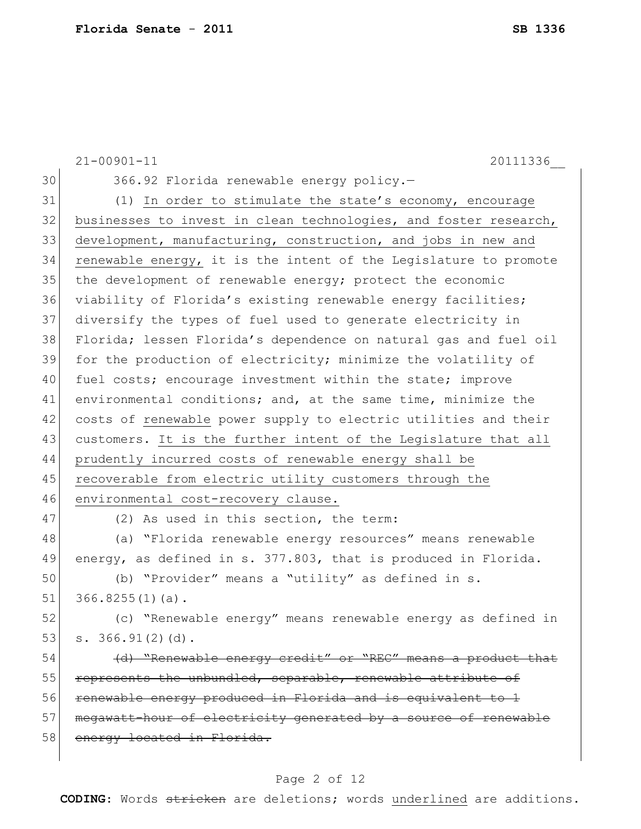|    | $21 - 00901 - 11$<br>20111336                                    |
|----|------------------------------------------------------------------|
| 30 | 366.92 Florida renewable energy policy.-                         |
| 31 | (1) In order to stimulate the state's economy, encourage         |
| 32 | businesses to invest in clean technologies, and foster research, |
| 33 | development, manufacturing, construction, and jobs in new and    |
| 34 | renewable energy, it is the intent of the Legislature to promote |
| 35 | the development of renewable energy; protect the economic        |
| 36 | viability of Florida's existing renewable energy facilities;     |
| 37 | diversify the types of fuel used to generate electricity in      |
| 38 | Florida; lessen Florida's dependence on natural gas and fuel oil |
| 39 | for the production of electricity; minimize the volatility of    |
| 40 | fuel costs; encourage investment within the state; improve       |
| 41 | environmental conditions; and, at the same time, minimize the    |
| 42 | costs of renewable power supply to electric utilities and their  |
| 43 | customers. It is the further intent of the Legislature that all  |
| 44 | prudently incurred costs of renewable energy shall be            |
| 45 | recoverable from electric utility customers through the          |
| 46 | environmental cost-recovery clause.                              |
| 47 | (2) As used in this section, the term:                           |
| 48 | (a) "Florida renewable energy resources" means renewable         |
| 49 | energy, as defined in s. 377.803, that is produced in Florida.   |
| 50 | (b) "Provider" means a "utility" as defined in s.                |
| 51 | $366.8255(1)(a)$ .                                               |
| 52 | (c) "Renewable energy" means renewable energy as defined in      |
| 53 | s. 366.91(2)(d).                                                 |
| 54 | (d) "Renewable energy credit" or "REC" means a product that      |
| 55 | represents the unbundled, separable, renewable attribute of      |
| 56 | renewable energy produced in Florida and is equivalent to 1      |
| 57 | megawatt-hour of electricity generated by a source of renewable  |
| 58 | energy located in Florida.                                       |
|    |                                                                  |

## Page 2 of 12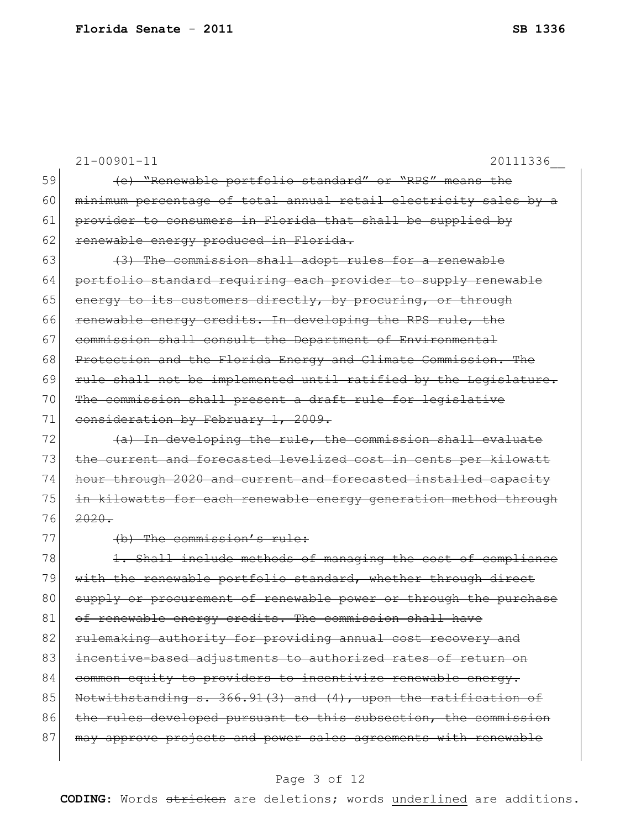|    | $21 - 00901 - 11$<br>20111336                                    |
|----|------------------------------------------------------------------|
| 59 | (e) "Renewable portfolio standard" or "RPS" means the            |
| 60 | minimum percentage of total annual retail electricity sales by a |
| 61 | provider to consumers in Florida that shall be supplied by       |
| 62 | renewable energy produced in Florida.                            |
| 63 | (3) The commission shall adopt rules for a renewable             |
| 64 | portfolio standard requiring each provider to supply renewable   |
| 65 | energy to its customers directly, by procuring, or through       |
| 66 | renewable energy credits. In developing the RPS rule, the        |
| 67 | commission shall consult the Department of Environmental         |
| 68 | Protection and the Florida Energy and Climate Commission. The    |
| 69 | rule shall not be implemented until ratified by the Legislature. |
| 70 | The commission shall present a draft rule for legislative        |
| 71 | consideration by February 1, 2009.                               |
| 72 | (a) In developing the rule, the commission shall evaluate        |
| 73 | the current and forecasted levelized cost in cents per kilowatt  |
| 74 | hour through 2020 and current and forecasted installed capacity  |
| 75 | in kilowatts for each renewable energy generation method through |
| 76 | $2020 -$                                                         |
| 77 | (b) The commission's rule:                                       |
| 78 | 1. Shall include methods of managing the cost of compliance      |
| 79 | with the renewable portfolio standard, whether through direct    |
| 80 | supply or procurement of renewable power or through the purchase |
| 81 | of renewable energy credits. The commission shall have           |
| 82 | rulemaking authority for providing annual cost recovery and      |
| 83 | incentive-based adjustments to authorized rates of return on     |
| 84 | common equity to providers to incentivize renewable energy.      |
| 85 | Notwithstanding s. 366.91(3) and (4), upon the ratification of   |
| 86 | the rules developed pursuant to this subsection, the commission  |
| 87 | may approve projects and power sales agreements with renewable   |
|    |                                                                  |

## Page 3 of 12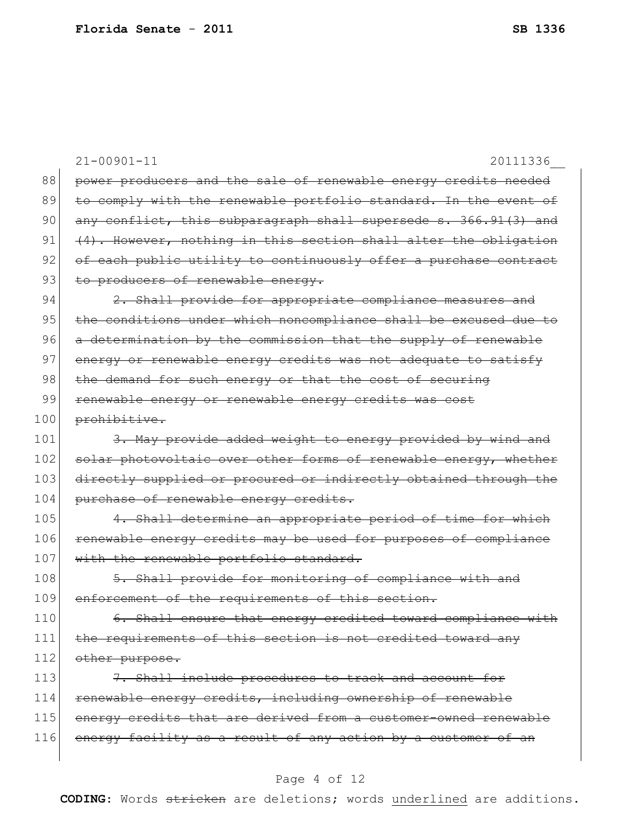|     | $21 - 00901 - 11$<br>20111336                                    |
|-----|------------------------------------------------------------------|
| 88  | power producers and the sale of renewable energy credits needed  |
| 89  | to comply with the renewable portfolio standard. In the event of |
| 90  | any conflict, this subparagraph shall supersede s. 366.91(3) and |
| 91  | (4). However, nothing in this section shall alter the obligation |
| 92  | of each public utility to continuously offer a purchase contract |
| 93  | to producers of renewable energy.                                |
| 94  | 2. Shall provide for appropriate compliance measures and         |
| 95  | the conditions under which noncompliance shall be excused due to |
| 96  | a determination by the commission that the supply of renewable   |
| 97  | energy or renewable energy credits was not adequate to satisfy   |
| 98  | the demand for such energy or that the cost of securing          |
| 99  | renewable energy or renewable energy credits was cost            |
| 100 | prohibitive.                                                     |
| 101 | 3. May provide added weight to energy provided by wind and       |
| 102 | solar photovoltaic over other forms of renewable energy, whether |
| 103 | directly supplied or procured or indirectly obtained through the |
| 104 | purchase of renewable energy credits.                            |
| 105 | 4. Shall determine an appropriate period of time for which       |
| 106 | renewable energy credits may be used for purposes of compliance  |
| 107 | with the renewable portfolio standard.                           |
| 108 | 5. Shall provide for monitoring of compliance with and           |
| 109 | enforcement of the requirements of this section.                 |
| 110 | 6. Shall ensure that energy credited toward compliance with      |
| 111 | the requirements of this section is not credited toward any      |
| 112 | other purpose.                                                   |
| 113 | 7. Shall include procedures to track and account for             |
| 114 | renewable energy credits, including ownership of renewable       |
| 115 | energy credits that are derived from a customer-owned renewable  |
| 116 | energy facility as a result of any action by a customer of an    |
|     |                                                                  |

## Page 4 of 12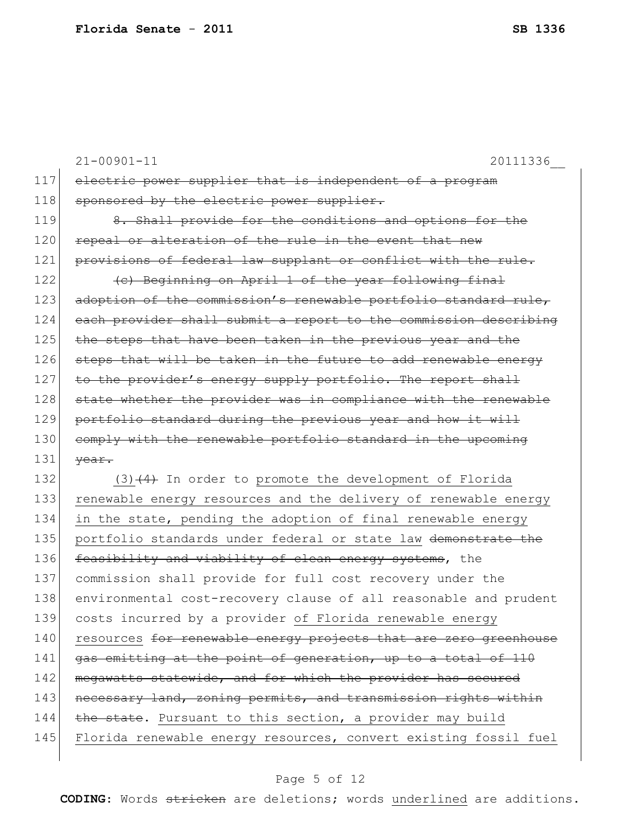|     | $21 - 00901 - 11$<br>20111336                                    |
|-----|------------------------------------------------------------------|
| 117 | electric power supplier that is independent of a program         |
| 118 | sponsored by the electric power supplier.                        |
| 119 | 8. Shall provide for the conditions and options for the          |
| 120 | repeal or alteration of the rule in the event that new           |
| 121 | provisions of federal law supplant or conflict with the rule.    |
| 122 | (c) Beginning on April 1 of the year following final             |
| 123 | adoption of the commission's renewable portfolio standard rule,  |
| 124 | each provider shall submit a report to the commission describing |
| 125 | the steps that have been taken in the previous year and the      |
| 126 | steps that will be taken in the future to add renewable energy   |
| 127 | to the provider's energy supply portfolio. The report shall      |
| 128 | state whether the provider was in compliance with the renewable  |
| 129 | portfolio standard during the previous year and how it will      |
| 130 | comply with the renewable portfolio standard in the upcoming     |
| 131 | year.                                                            |
| 132 | $(3)$ $(4)$ In order to promote the development of Florida       |
| 133 | renewable energy resources and the delivery of renewable energy  |
| 134 | in the state, pending the adoption of final renewable energy     |
| 135 | portfolio standards under federal or state law demonstrate the   |
| 136 | feasibility and viability of clean energy systems, the           |
| 137 | commission shall provide for full cost recovery under the        |
| 138 | environmental cost-recovery clause of all reasonable and prudent |
| 139 | costs incurred by a provider of Florida renewable energy         |
| 140 | resources for renewable energy projects that are zero greenhouse |
| 141 | gas emitting at the point of generation, up to a total of 110    |
| 142 | megawatts statewide, and for which the provider has secured      |
| 143 | necessary land, zoning permits, and transmission rights within   |
| 144 | the state. Pursuant to this section, a provider may build        |
| 145 | Florida renewable energy resources, convert existing fossil fuel |
|     |                                                                  |

## Page 5 of 12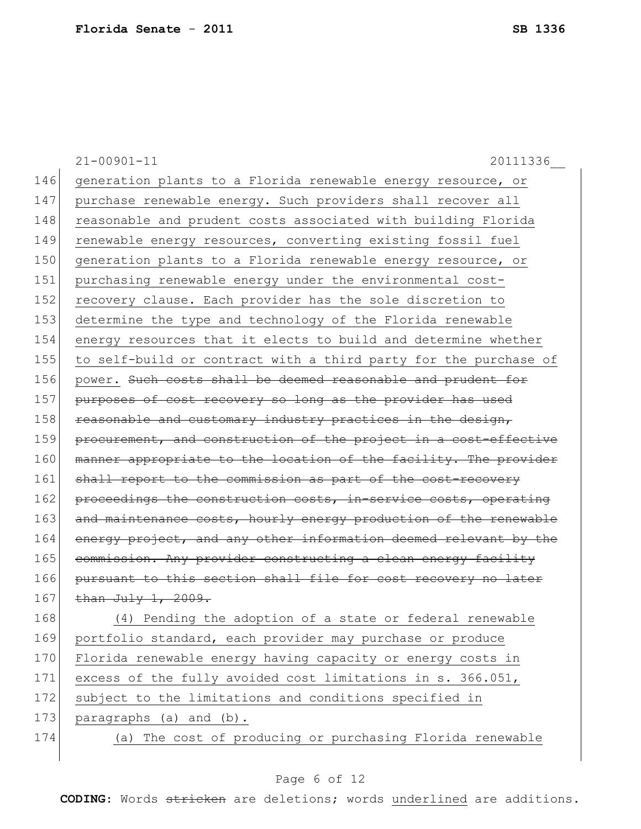21-00901-11 20111336\_\_ 146 generation plants to a Florida renewable energy resource, or 147 purchase renewable energy. Such providers shall recover all 148 reasonable and prudent costs associated with building Florida 149 renewable energy resources, converting existing fossil fuel 150 generation plants to a Florida renewable energy resource, or 151 purchasing renewable energy under the environmental cost-152 recovery clause. Each provider has the sole discretion to 153 determine the type and technology of the Florida renewable 154 energy resources that it elects to build and determine whether 155 to self-build or contract with a third party for the purchase of 156 power. Such costs shall be deemed reasonable and prudent for 157 purposes of cost recovery so long as the provider has used 158 reasonable and customary industry practices in the design, 159 procurement, and construction of the project in a cost-effective 160 manner appropriate to the location of the facility. The provider 161 shall report to the commission as part of the cost-recovery 162 proceedings the construction costs, in-service costs, operating 163 and maintenance costs, hourly energy production of the renewable 164 energy project, and any other information deemed relevant by the 165 commission. Any provider constructing a clean energy facility 166 pursuant to this section shall file for cost recovery no later 167 than  $J u 1 y 1, 2009$ . 168 (4) Pending the adoption of a state or federal renewable 169 portfolio standard, each provider may purchase or produce 170 Florida renewable energy having capacity or energy costs in 171 excess of the fully avoided cost limitations in s. 366.051, 172 subject to the limitations and conditions specified in 173 paragraphs (a) and (b). 174 (a) The cost of producing or purchasing Florida renewable

### Page 6 of 12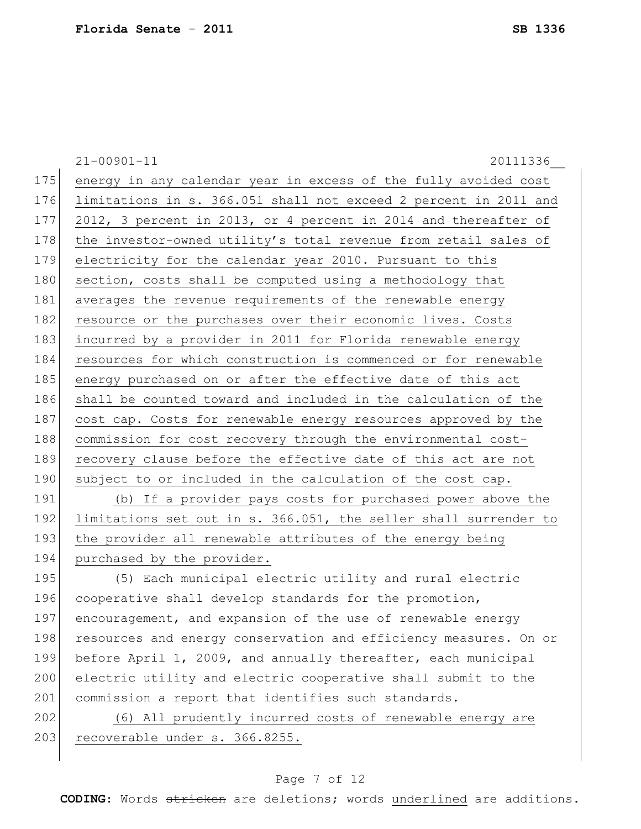21-00901-11 20111336\_\_ 175 energy in any calendar year in excess of the fully avoided cost 176 limitations in s. 366.051 shall not exceed 2 percent in 2011 and 177 2012, 3 percent in 2013, or 4 percent in 2014 and thereafter of 178 the investor-owned utility's total revenue from retail sales of 179 electricity for the calendar year 2010. Pursuant to this 180 section, costs shall be computed using a methodology that 181 averages the revenue requirements of the renewable energy 182 resource or the purchases over their economic lives. Costs 183 incurred by a provider in 2011 for Florida renewable energy 184 resources for which construction is commenced or for renewable 185 energy purchased on or after the effective date of this act 186 shall be counted toward and included in the calculation of the 187 cost cap. Costs for renewable energy resources approved by the 188 commission for cost recovery through the environmental cost-189 recovery clause before the effective date of this act are not 190 subject to or included in the calculation of the cost cap. 191 (b) If a provider pays costs for purchased power above the 192 limitations set out in s. 366.051, the seller shall surrender to 193 the provider all renewable attributes of the energy being 194 purchased by the provider. 195 (5) Each municipal electric utility and rural electric 196 cooperative shall develop standards for the promotion, 197 encouragement, and expansion of the use of renewable energy 198 resources and energy conservation and efficiency measures. On or 199 before April 1, 2009, and annually thereafter, each municipal 200 electric utility and electric cooperative shall submit to the

202 (6) All prudently incurred costs of renewable energy are 203 recoverable under s. 366.8255.

201 commission a report that identifies such standards.

### Page 7 of 12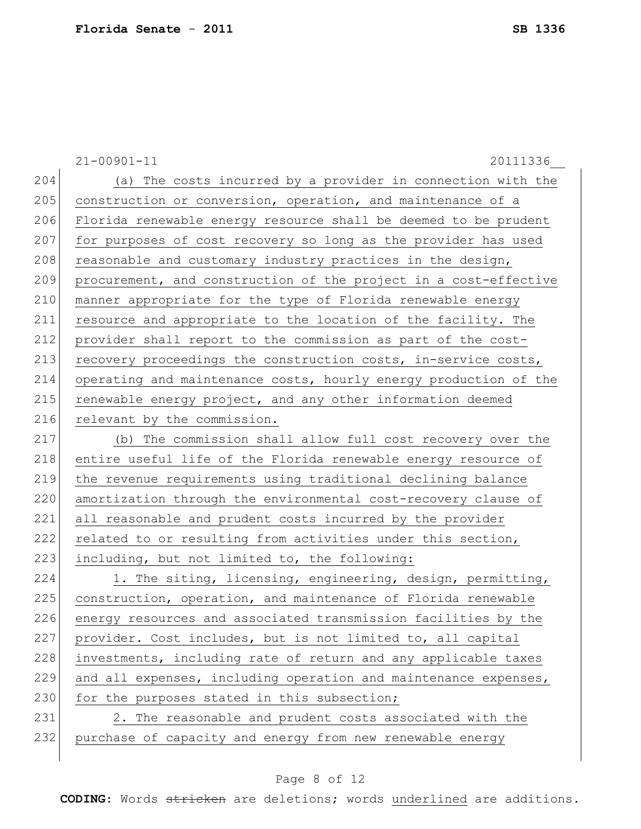21-00901-11 20111336\_\_ 204 (a) The costs incurred by a provider in connection with the 205 construction or conversion, operation, and maintenance of a 206 Florida renewable energy resource shall be deemed to be prudent 207 for purposes of cost recovery so long as the provider has used  $208$  reasonable and customary industry practices in the design, 209 procurement, and construction of the project in a cost-effective 210 manner appropriate for the type of Florida renewable energy 211 resource and appropriate to the location of the facility. The 212 provider shall report to the commission as part of the cost-213 recovery proceedings the construction costs, in-service costs, 214 operating and maintenance costs, hourly energy production of the 215 renewable energy project, and any other information deemed 216 relevant by the commission. 217 (b) The commission shall allow full cost recovery over the 218 entire useful life of the Florida renewable energy resource of 219 the revenue requirements using traditional declining balance 220 amortization through the environmental cost-recovery clause of 221 all reasonable and prudent costs incurred by the provider 222 related to or resulting from activities under this section, 223 including, but not limited to, the following: 224 1. The siting, licensing, engineering, design, permitting, 225 construction, operation, and maintenance of Florida renewable 226 energy resources and associated transmission facilities by the 227 provider. Cost includes, but is not limited to, all capital 228 investments, including rate of return and any applicable taxes 229 and all expenses, including operation and maintenance expenses, 230 for the purposes stated in this subsection; 231 2. The reasonable and prudent costs associated with the 232 purchase of capacity and energy from new renewable energy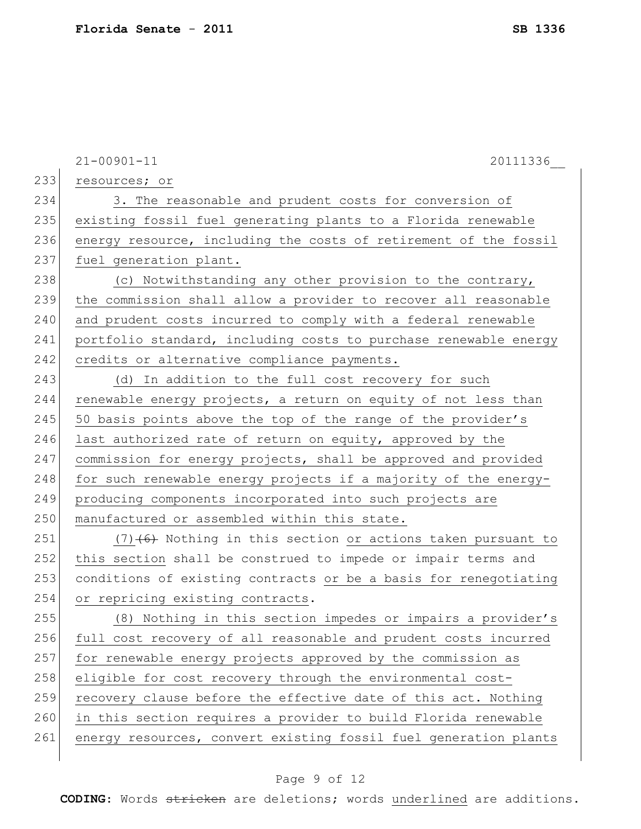|     | $21 - 00901 - 11$<br>20111336                                    |
|-----|------------------------------------------------------------------|
| 233 | resources; or                                                    |
| 234 | 3. The reasonable and prudent costs for conversion of            |
| 235 | existing fossil fuel generating plants to a Florida renewable    |
| 236 | energy resource, including the costs of retirement of the fossil |
| 237 | fuel generation plant.                                           |
| 238 | (c) Notwithstanding any other provision to the contrary,         |
| 239 | the commission shall allow a provider to recover all reasonable  |
| 240 | and prudent costs incurred to comply with a federal renewable    |
| 241 | portfolio standard, including costs to purchase renewable energy |
| 242 | credits or alternative compliance payments.                      |
| 243 | (d) In addition to the full cost recovery for such               |
| 244 | renewable energy projects, a return on equity of not less than   |
| 245 | 50 basis points above the top of the range of the provider's     |
| 246 | last authorized rate of return on equity, approved by the        |
| 247 | commission for energy projects, shall be approved and provided   |
| 248 | for such renewable energy projects if a majority of the energy-  |
| 249 | producing components incorporated into such projects are         |
| 250 | manufactured or assembled within this state.                     |
| 251 | $(7)$ (6) Nothing in this section or actions taken pursuant to   |
| 252 | this section shall be construed to impede or impair terms and    |
| 253 | conditions of existing contracts or be a basis for renegotiating |
| 254 | or repricing existing contracts.                                 |
| 255 | (8) Nothing in this section impedes or impairs a provider's      |
| 256 | full cost recovery of all reasonable and prudent costs incurred  |
| 257 | for renewable energy projects approved by the commission as      |
| 258 | eligible for cost recovery through the environmental cost-       |
| 259 | recovery clause before the effective date of this act. Nothing   |
| 260 | in this section requires a provider to build Florida renewable   |
| 261 | energy resources, convert existing fossil fuel generation plants |
|     |                                                                  |

## Page 9 of 12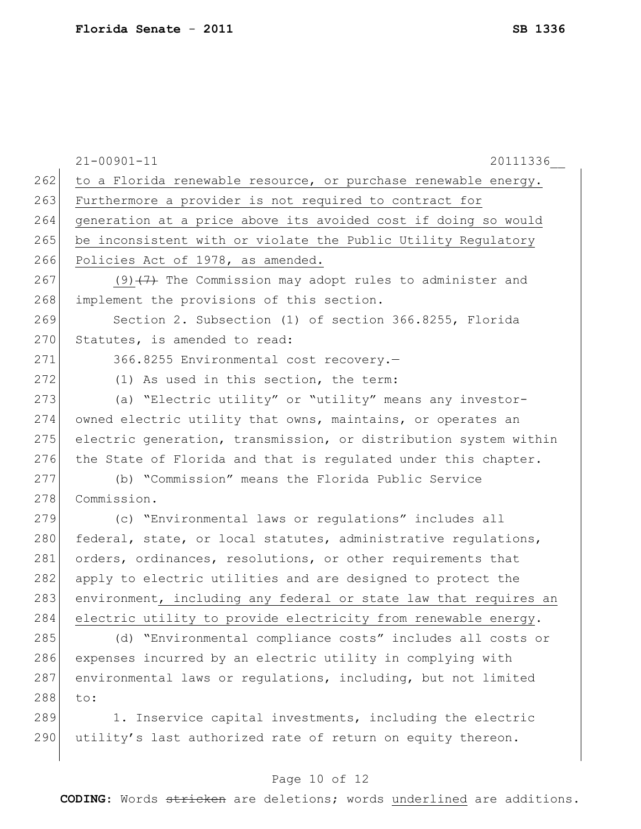|     | $21 - 00901 - 11$<br>20111336                                    |
|-----|------------------------------------------------------------------|
| 262 | to a Florida renewable resource, or purchase renewable energy.   |
| 263 | Furthermore a provider is not required to contract for           |
| 264 | generation at a price above its avoided cost if doing so would   |
| 265 | be inconsistent with or violate the Public Utility Regulatory    |
| 266 | Policies Act of 1978, as amended.                                |
| 267 | $(9)$ $(7)$ The Commission may adopt rules to administer and     |
| 268 | implement the provisions of this section.                        |
| 269 | Section 2. Subsection (1) of section 366.8255, Florida           |
| 270 | Statutes, is amended to read:                                    |
| 271 | 366.8255 Environmental cost recovery.-                           |
| 272 | (1) As used in this section, the term:                           |
| 273 | (a) "Electric utility" or "utility" means any investor-          |
| 274 | owned electric utility that owns, maintains, or operates an      |
| 275 | electric generation, transmission, or distribution system within |
| 276 | the State of Florida and that is regulated under this chapter.   |
| 277 | (b) "Commission" means the Florida Public Service                |
| 278 | Commission.                                                      |
| 279 | (c) "Environmental laws or regulations" includes all             |
| 280 | federal, state, or local statutes, administrative regulations,   |
| 281 | orders, ordinances, resolutions, or other requirements that      |
| 282 | apply to electric utilities and are designed to protect the      |
| 283 | environment, including any federal or state law that requires an |
| 284 | electric utility to provide electricity from renewable energy.   |
| 285 | (d) "Environmental compliance costs" includes all costs or       |
| 286 | expenses incurred by an electric utility in complying with       |
| 287 | environmental laws or regulations, including, but not limited    |
| 288 | to:                                                              |
| 289 | 1. Inservice capital investments, including the electric         |
| 290 | utility's last authorized rate of return on equity thereon.      |
|     |                                                                  |

## Page 10 of 12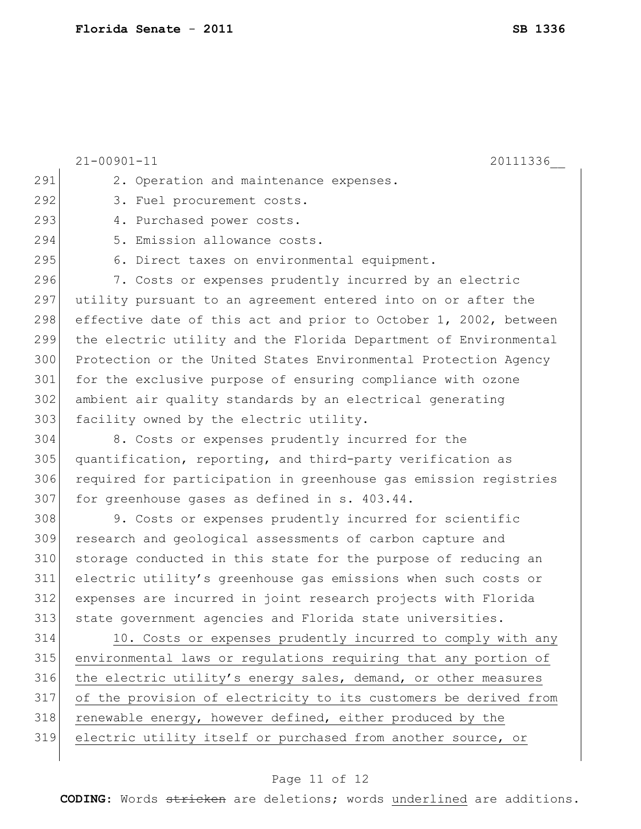21-00901-11 20111336\_\_ 291 2. Operation and maintenance expenses. 292 3. Fuel procurement costs. 293 4. Purchased power costs. 294 5. Emission allowance costs. 295 6. Direct taxes on environmental equipment. 296 7. Costs or expenses prudently incurred by an electric 297 utility pursuant to an agreement entered into on or after the 298 effective date of this act and prior to October 1, 2002, between 299 the electric utility and the Florida Department of Environmental 300 Protection or the United States Environmental Protection Agency 301 for the exclusive purpose of ensuring compliance with ozone 302 ambient air quality standards by an electrical generating 303 facility owned by the electric utility. 304 8. Costs or expenses prudently incurred for the 305 quantification, reporting, and third-party verification as 306 required for participation in greenhouse gas emission registries 307 for greenhouse gases as defined in s. 403.44. 308 9. Costs or expenses prudently incurred for scientific 309 research and geological assessments of carbon capture and 310 storage conducted in this state for the purpose of reducing an 311 electric utility's greenhouse gas emissions when such costs or 312 expenses are incurred in joint research projects with Florida 313 state government agencies and Florida state universities. 314 10. Costs or expenses prudently incurred to comply with any 315 environmental laws or regulations requiring that any portion of 316 the electric utility's energy sales, demand, or other measures 317 of the provision of electricity to its customers be derived from 318 renewable energy, however defined, either produced by the 319 electric utility itself or purchased from another source, or

#### Page 11 of 12